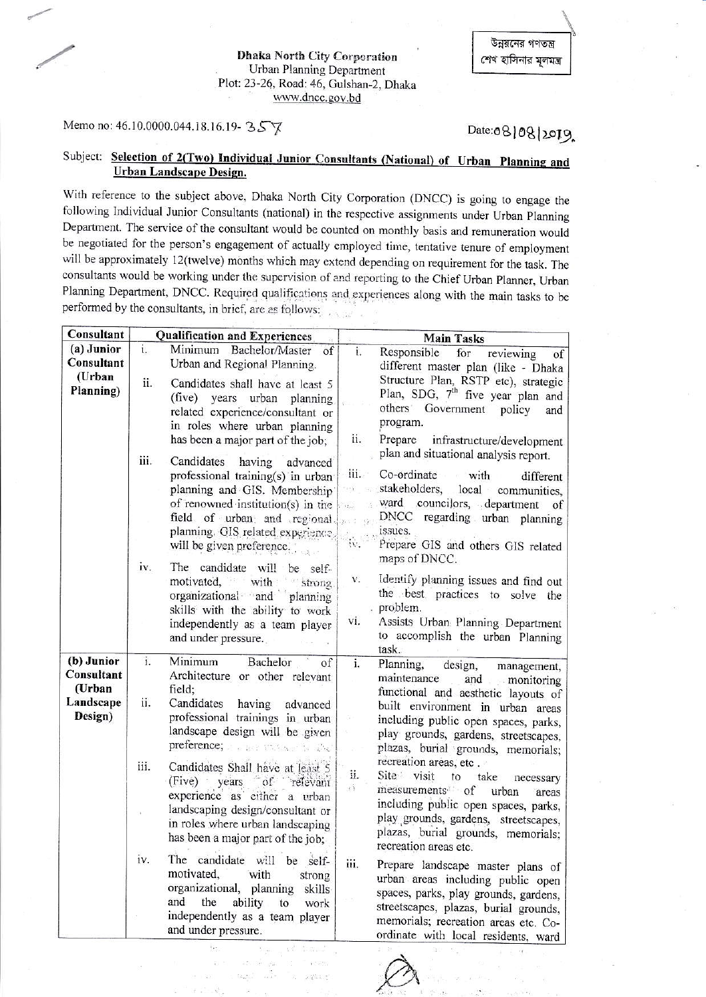**Dhaka North City Corporation** Urban Planning Department Plot: 23-26, Road: 46, Gulshan-2, Dhaka www.dncc.gov.bd

## Memo no: 46.10.0000.044.18.16.19- 357

উন্নয়নের গণতন্ত্র

শেখ হাসিনার মূলমন্ত্র

## Subject: Selection of 2(Two) Individual Junior Consultants (National) of Urban Planning and Urban Landscape Design.

With reference to the subject above, Dhaka North City Corporation (DNCC) is going to engage the following Individual Junior Consultants (national) in the respective assignments under Urban Planning Department. The service of the consultant would be counted on monthly basis and remuneration would be negotiated for the person's engagement of actually employed time, tentative tenure of employment will be approximately 12(twelve) months which may extend depending on requirement for the task. The consultants would be working under the supervision of and reporting to the Chief Urban Planner, Urban Planning Department, DNCC. Required qualifications and experiences along with the main tasks to be performed by the consultants, in brief, are as follows:

| Consultant        | <b>Qualification and Experiences</b> |                                        |                            | <b>Main Tasks</b>                                                           |  |
|-------------------|--------------------------------------|----------------------------------------|----------------------------|-----------------------------------------------------------------------------|--|
| (a) Junior        | i.                                   | Minimum Bachelor/Master<br>of          | i.                         | Responsible<br>for<br>reviewing<br>of                                       |  |
| Consultant        |                                      | Urban and Regional Planning.           |                            | different master plan (like - Dhaka                                         |  |
| (Urban            | ii.                                  | Candidates shall have at least 5       |                            | Structure Plan, RSTP etc), strategic                                        |  |
| <b>Planning</b> ) |                                      | (five)<br>years urban planning         |                            | Plan, SDG, 7 <sup>th</sup> five year plan and                               |  |
|                   |                                      | related experience/consultant or       |                            | others Government<br>policy<br>and                                          |  |
|                   |                                      | in roles where urban planning          |                            | program.                                                                    |  |
|                   |                                      | has been a major part of the job;      | ii.                        | Prepare<br>infrastructure/development                                       |  |
|                   | iii.                                 | Candidates<br>having<br>advanced       |                            | plan and situational analysis report.                                       |  |
|                   |                                      | professional training(s) in urban      | iii.                       | Co-ordinate<br>with<br>different                                            |  |
|                   |                                      | planning and GIS. Membership           | $\pm\frac{1}{2}$           | stakeholders,<br>local communities,                                         |  |
|                   |                                      | of renowned institution(s) in the      | $\mathcal{L}_{\text{max}}$ | ward councilors, department of                                              |  |
|                   |                                      | field of urban and regional            | e v d<br>$\dot{\alpha}$    | DNCC regarding urban planning                                               |  |
|                   |                                      | planning. GIS related experience       |                            | issues.                                                                     |  |
|                   |                                      | will be given preference.              | $W$ ,                      | Prepare GIS and others GIS related                                          |  |
|                   | iv.                                  | The candidate will be                  |                            | maps of DNCC.                                                               |  |
|                   |                                      | self-<br>motivated, with<br>* * strong | V.                         | Identify planning issues and find out                                       |  |
|                   |                                      | organizational and planning            |                            | the best practices to solve the                                             |  |
|                   |                                      | skills with the ability to work        |                            | problem.                                                                    |  |
|                   |                                      | independently as a team player         | vi.                        | Assists Urban Planning Department                                           |  |
|                   |                                      | and under pressure.                    |                            | to accomplish the urban Planning                                            |  |
|                   |                                      |                                        |                            | task.                                                                       |  |
| (b) Junior        | i.                                   | Minimum<br>Bachelor<br>of              | $\overline{i}$ .           | Planning,<br>design,<br>management,                                         |  |
| Consultant        |                                      | Architecture or other relevant         |                            | maintenance<br>and monitoring                                               |  |
| (Urban            |                                      | field;                                 |                            | functional and aesthetic layouts of                                         |  |
| Landscape         | iï.                                  | Candidates<br>having<br>advanced       |                            | built environment in urban areas                                            |  |
| Design)           |                                      | professional trainings in urban        |                            | including public open spaces, parks,                                        |  |
|                   |                                      | landscape design will be given         |                            | play grounds, gardens, streetscapes,                                        |  |
|                   |                                      | preference; a serie in the state       |                            | plazas, burial grounds, memorials;                                          |  |
|                   | iii.                                 | Candidates Shall have at least 5       |                            | recreation areas, etc.                                                      |  |
|                   |                                      | (Five) years<br>of refevant            | ii.                        | Site visit<br>take<br>to<br>necessary                                       |  |
|                   |                                      | experience as either a urban           | $\epsilon$ )               | measurements of<br>urban<br>areas                                           |  |
|                   |                                      | landscaping design/consultant or       |                            | including public open spaces, parks,                                        |  |
|                   |                                      | in roles where urban landscaping       |                            | play grounds, gardens, streetscapes,                                        |  |
|                   |                                      | has been a major part of the job;      |                            | plazas, burial grounds, memorials;<br>recreation areas etc.                 |  |
|                   | iv.                                  | The candidate will be self-            |                            |                                                                             |  |
|                   |                                      | motivated,<br>with<br>strong           | iii.                       | Prepare landscape master plans of                                           |  |
|                   |                                      | organizational, planning<br>skills     |                            | urban areas including public open                                           |  |
|                   |                                      | and<br>the<br>ability<br>to<br>work    |                            | spaces, parks, play grounds, gardens,                                       |  |
|                   |                                      | independently as a team player         |                            | streetscapes, plazas, burial grounds,                                       |  |
|                   |                                      | and under pressure.                    |                            | memorials; recreation areas etc. Co-<br>ordinate with local residents, ward |  |
|                   |                                      |                                        |                            |                                                                             |  |

## Date:08|08|2019.